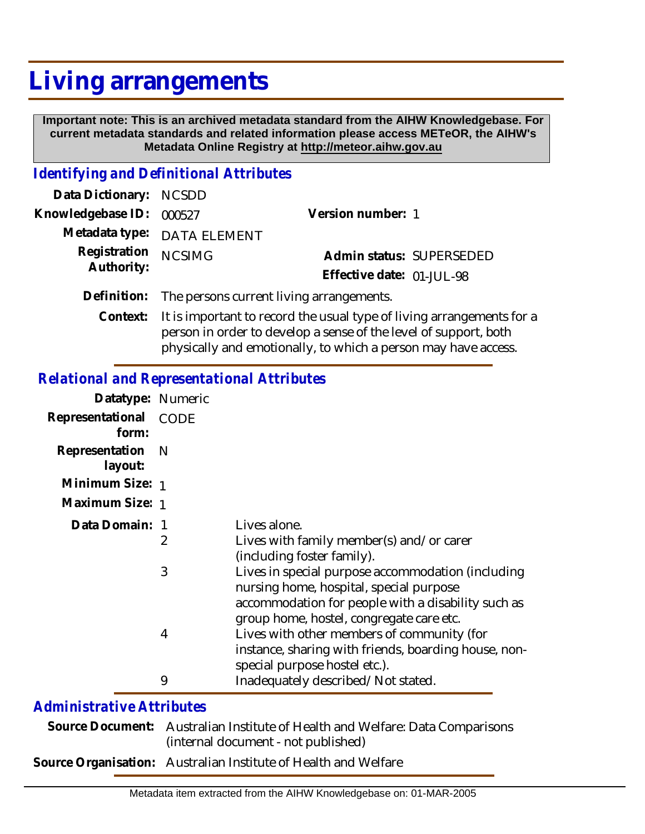## **Living arrangements**

 **Important note: This is an archived metadata standard from the AIHW Knowledgebase. For current metadata standards and related information please access METeOR, the AIHW's Metadata Online Registry at http://meteor.aihw.gov.au**

## *Identifying and Definitional Attributes*

| Data Dictionary: NCSDD   |                                                      |                           |                          |
|--------------------------|------------------------------------------------------|---------------------------|--------------------------|
| Knowledgebase ID: 000527 |                                                      | Version number: 1         |                          |
|                          | Metadata type: DATA ELEMENT                          |                           |                          |
| Registration NCSIMG      |                                                      |                           | Admin status: SUPERSEDED |
| Authority:               |                                                      | Effective date: 01-JUL-98 |                          |
|                          | Definition: The persons current living arrangements. |                           |                          |
|                          | $\bigcap$ is the state of the state $\bigcap$        |                           |                          |

It is important to record the usual type of living arrangements for a person in order to develop a sense of the level of support, both physically and emotionally, to which a person may have access. **Context:**

## *Relational and Representational Attributes*

| Datatype: Numeric         |             |                                                                                                                                                                                                |
|---------------------------|-------------|------------------------------------------------------------------------------------------------------------------------------------------------------------------------------------------------|
| Representational<br>form: | <b>CODE</b> |                                                                                                                                                                                                |
| Representation<br>layout: | - N         |                                                                                                                                                                                                |
| Minimum Size: 1           |             |                                                                                                                                                                                                |
| Maximum Size: 1           |             |                                                                                                                                                                                                |
| Data Domain: 1            |             | Lives alone.                                                                                                                                                                                   |
|                           | 2           | Lives with family member(s) and/or carer<br>(including foster family).                                                                                                                         |
|                           | 3           | Lives in special purpose accommodation (including<br>nursing home, hospital, special purpose<br>accommodation for people with a disability such as<br>group home, hostel, congregate care etc. |
|                           | 4           | Lives with other members of community (for<br>instance, sharing with friends, boarding house, non-<br>special purpose hostel etc.).                                                            |
|                           | 9           | Inadequately described/Not stated.                                                                                                                                                             |

## *Administrative Attributes*

| Source Document: Australian Institute of Health and Welfare: Data Comparisons |
|-------------------------------------------------------------------------------|
| (internal document - not published)                                           |
| Source Organisation: Australian Institute of Health and Welfare               |